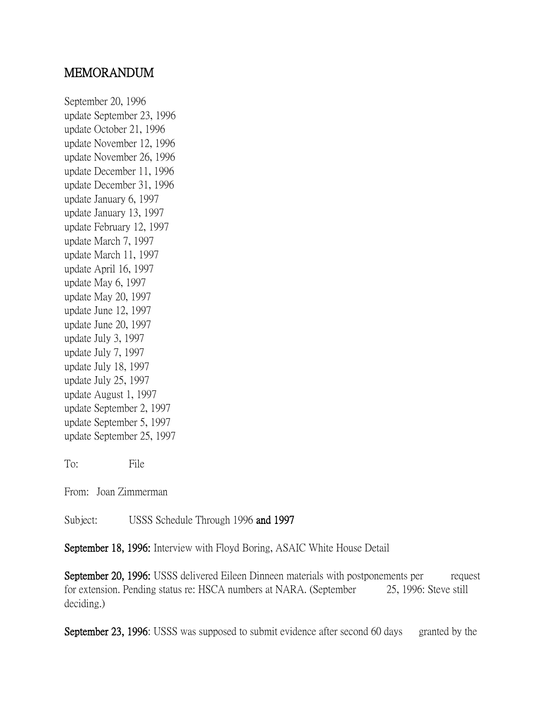## MEMORANDUM

September 20, 1996 update September 23, 1996 update October 21, 1996 update November 12, 1996 update November 26, 1996 update December 11, 1996 update December 31, 1996 update January 6, 1997 update January 13, 1997 update February 12, 1997 update March 7, 1997 update March 11, 1997 update April 16, 1997 update May 6, 1997 update May 20, 1997 update June 12, 1997 update June 20, 1997 update July 3, 1997 update July 7, 1997 update July 18, 1997 update July 25, 1997 update August 1, 1997 update September 2, 1997 update September 5, 1997 update September 25, 1997

To: File

From: Joan Zimmerman

Subject: USSS Schedule Through 1996 and 1997

September 18, 1996: Interview with Floyd Boring, ASAIC White House Detail

September 20, 1996: USSS delivered Eileen Dinneen materials with postponements per request for extension. Pending status re: HSCA numbers at NARA. (September 25, 1996: Steve still deciding.)

September 23, 1996: USSS was supposed to submit evidence after second 60 days granted by the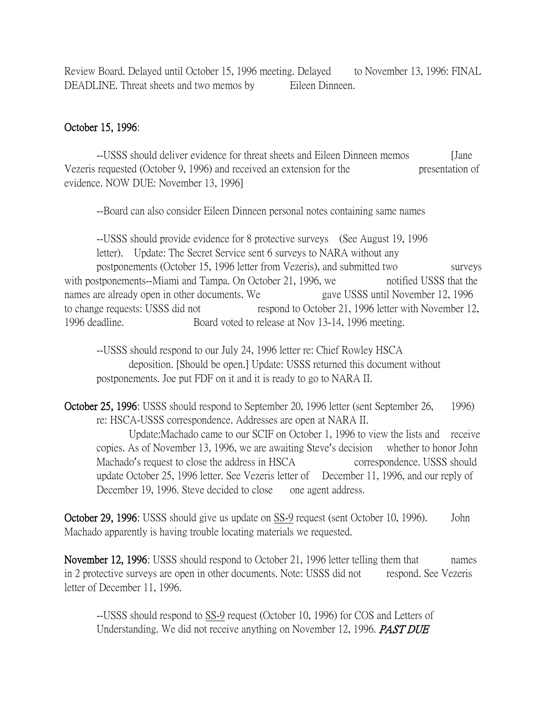Review Board. Delayed until October 15, 1996 meeting. Delayed to November 13, 1996: FINAL DEADLINE. Threat sheets and two memos by Eileen Dinneen.

## October 15, 1996:

--USSS should deliver evidence for threat sheets and Eileen Dinneen memos [Jane Vezeris requested (October 9, 1996) and received an extension for the presentation of evidence. NOW DUE: November 13, 1996]

--Board can also consider Eileen Dinneen personal notes containing same names

--USSS should provide evidence for 8 protective surveys (See August 19, 1996 letter). Update: The Secret Service sent 6 surveys to NARA without any postponements (October 15, 1996 letter from Vezeris), and submitted two surveys with postponements--Miami and Tampa. On October 21, 1996, we notified USSS that the names are already open in other documents. We gave USSS until November 12, 1996 to change requests: USSS did not respond to October 21, 1996 letter with November 12, 1996 deadline. Board voted to release at Nov 13-14, 1996 meeting.

--USSS should respond to our July 24, 1996 letter re: Chief Rowley HSCA deposition. [Should be open.] Update: USSS returned this document without postponements. Joe put FDF on it and it is ready to go to NARA II.

October 25, 1996: USSS should respond to September 20, 1996 letter (sent September 26, 1996) re: HSCA-USSS correspondence. Addresses are open at NARA II.

Update:Machado came to our SCIF on October 1, 1996 to view the lists and receive copies. As of November 13, 1996, we are awaiting Steve's decision whether to honor John Machado's request to close the address in HSCA correspondence. USSS should update October 25, 1996 letter. See Vezeris letter of December 11, 1996, and our reply of December 19, 1996. Steve decided to close one agent address.

October 29, 1996: USSS should give us update on SS-9 request (sent October 10, 1996). John Machado apparently is having trouble locating materials we requested.

November 12, 1996: USSS should respond to October 21, 1996 letter telling them that names in 2 protective surveys are open in other documents. Note: USSS did not respond. See Vezeris letter of December 11, 1996.

--USSS should respond to SS-9 request (October 10, 1996) for COS and Letters of Understanding. We did not receive anything on November 12, 1996. **PAST DUE**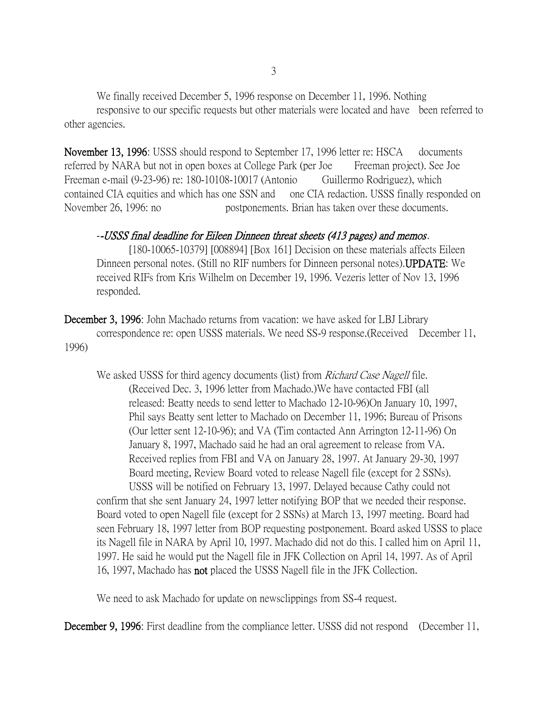We finally received December 5, 1996 response on December 11, 1996. Nothing responsive to our specific requests but other materials were located and have been referred to other agencies.

November 13, 1996: USSS should respond to September 17, 1996 letter re: HSCA documents referred by NARA but not in open boxes at College Park (per Joe Freeman project). See Joe Freeman e-mail (9-23-96) re: 180-10108-10017 (Antonio Guillermo Rodriguez), which contained CIA equities and which has one SSN and one CIA redaction. USSS finally responded on November 26, 1996: no postponements. Brian has taken over these documents.

## --USSS final deadline for Eileen Dinneen threat sheets (413 pages) and memos.

[180-10065-10379] [008894] [Box 161] Decision on these materials affects Eileen Dinneen personal notes. (Still no RIF numbers for Dinneen personal notes).UPDATE: We received RIFs from Kris Wilhelm on December 19, 1996. Vezeris letter of Nov 13, 1996 responded.

December 3, 1996: John Machado returns from vacation: we have asked for LBJ Library correspondence re: open USSS materials. We need SS-9 response.(Received December 11, 1996)

We asked USSS for third agency documents (list) from *Richard Case Nagell* file. (Received Dec. 3, 1996 letter from Machado.)We have contacted FBI (all released: Beatty needs to send letter to Machado 12-10-96)On January 10, 1997, Phil says Beatty sent letter to Machado on December 11, 1996; Bureau of Prisons (Our letter sent 12-10-96); and VA (Tim contacted Ann Arrington 12-11-96) On January 8, 1997, Machado said he had an oral agreement to release from VA. Received replies from FBI and VA on January 28, 1997. At January 29-30, 1997 Board meeting, Review Board voted to release Nagell file (except for 2 SSNs).

USSS will be notified on February 13, 1997. Delayed because Cathy could not confirm that she sent January 24, 1997 letter notifying BOP that we needed their response. Board voted to open Nagell file (except for 2 SSNs) at March 13, 1997 meeting. Board had seen February 18, 1997 letter from BOP requesting postponement. Board asked USSS to place its Nagell file in NARA by April 10, 1997. Machado did not do this. I called him on April 11, 1997. He said he would put the Nagell file in JFK Collection on April 14, 1997. As of April 16, 1997, Machado has not placed the USSS Nagell file in the JFK Collection.

We need to ask Machado for update on newsclippings from SS-4 request.

December 9, 1996: First deadline from the compliance letter. USSS did not respond (December 11,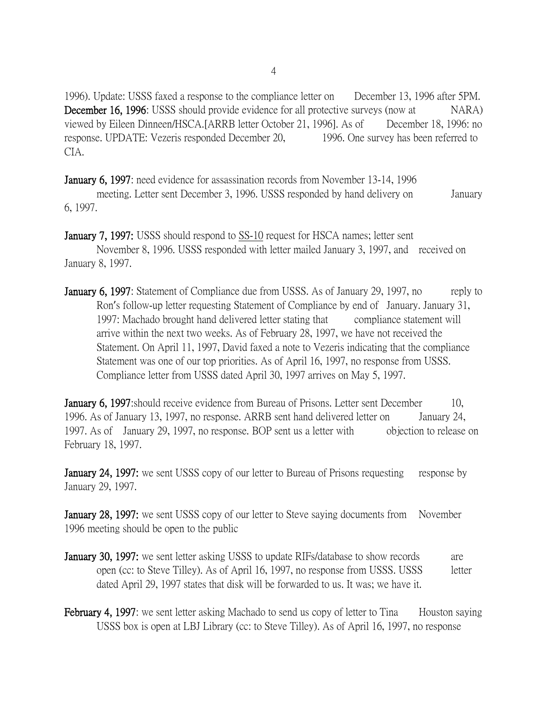1996). Update: USSS faxed a response to the compliance letter on December 13, 1996 after 5PM. **December 16, 1996:** USSS should provide evidence for all protective surveys (now at NARA) viewed by Eileen Dinneen/HSCA.[ARRB letter October 21, 1996]. As of December 18, 1996: no response. UPDATE: Vezeris responded December 20, 1996. One survey has been referred to CIA.

January 6, 1997: need evidence for assassination records from November 13-14, 1996

meeting. Letter sent December 3, 1996. USSS responded by hand delivery on January 6, 1997.

January 7, 1997: USSS should respond to SS-10 request for HSCA names; letter sent November 8, 1996. USSS responded with letter mailed January 3, 1997, and received on January 8, 1997.

**January 6, 1997:** Statement of Compliance due from USSS. As of January 29, 1997, no reply to Ron's follow-up letter requesting Statement of Compliance by end of January. January 31, 1997: Machado brought hand delivered letter stating that compliance statement will arrive within the next two weeks. As of February 28, 1997, we have not received the Statement. On April 11, 1997, David faxed a note to Vezeris indicating that the compliance Statement was one of our top priorities. As of April 16, 1997, no response from USSS. Compliance letter from USSS dated April 30, 1997 arrives on May 5, 1997.

**January 6, 1997:** should receive evidence from Bureau of Prisons. Letter sent December 10, 1996. As of January 13, 1997, no response. ARRB sent hand delivered letter on January 24, 1997. As of January 29, 1997, no response. BOP sent us a letter with objection to release on February 18, 1997.

**January 24, 1997:** we sent USSS copy of our letter to Bureau of Prisons requesting response by January 29, 1997.

**January 28, 1997:** we sent USSS copy of our letter to Steve saying documents from November 1996 meeting should be open to the public

- **January 30, 1997:** we sent letter asking USSS to update RIFs/database to show records are open (cc: to Steve Tilley). As of April 16, 1997, no response from USSS. USSS letter dated April 29, 1997 states that disk will be forwarded to us. It was; we have it.
- **February 4, 1997:** we sent letter asking Machado to send us copy of letter to Tina Houston saying USSS box is open at LBJ Library (cc: to Steve Tilley). As of April 16, 1997, no response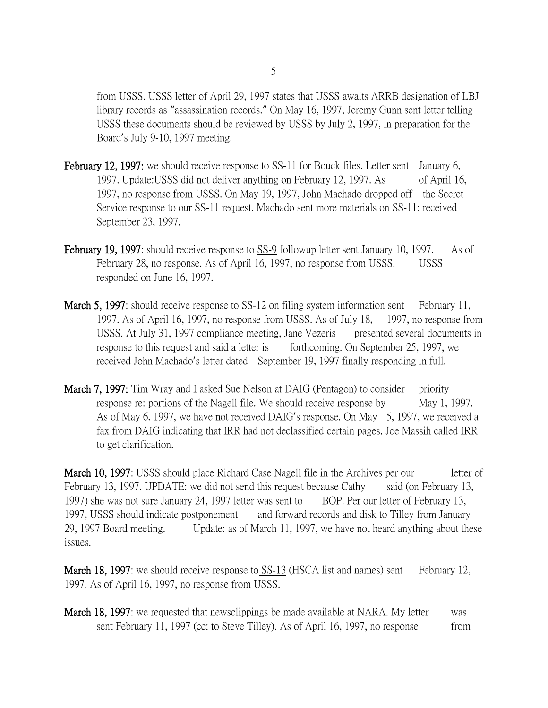from USSS. USSS letter of April 29, 1997 states that USSS awaits ARRB designation of LBJ library records as "assassination records." On May 16, 1997, Jeremy Gunn sent letter telling USSS these documents should be reviewed by USSS by July 2, 1997, in preparation for the Board's July 9-10, 1997 meeting.

- February 12, 1997: we should receive response to SS-11 for Bouck files. Letter sent January 6, 1997. Update:USSS did not deliver anything on February 12, 1997. As of April 16, 1997, no response from USSS. On May 19, 1997, John Machado dropped off the Secret Service response to our SS-11 request. Machado sent more materials on SS-11: received September 23, 1997.
- February 19, 1997: should receive response to <u>SS-9</u> followup letter sent January 10, 1997. As of February 28, no response. As of April 16, 1997, no response from USSS. USSS responded on June 16, 1997.
- March 5, 1997: should receive response to SS-12 on filing system information sent February 11, 1997. As of April 16, 1997, no response from USSS. As of July 18, 1997, no response from USSS. At July 31, 1997 compliance meeting, Jane Vezeris presented several documents in response to this request and said a letter is forthcoming. On September 25, 1997, we received John Machado's letter dated September 19, 1997 finally responding in full.
- **March 7, 1997:** Tim Wray and I asked Sue Nelson at DAIG (Pentagon) to consider priority response re: portions of the Nagell file. We should receive response by May 1, 1997. As of May 6, 1997, we have not received DAIG's response. On May 5, 1997, we received a fax from DAIG indicating that IRR had not declassified certain pages. Joe Massih called IRR to get clarification.

March 10, 1997: USSS should place Richard Case Nagell file in the Archives per our letter of February 13, 1997. UPDATE: we did not send this request because Cathy said (on February 13, 1997) she was not sure January 24, 1997 letter was sent to BOP. Per our letter of February 13, 1997, USSS should indicate postponement and forward records and disk to Tilley from January 29, 1997 Board meeting. Update: as of March 11, 1997, we have not heard anything about these issues.

March 18, 1997: we should receive response to SS-13 (HSCA list and names) sent February 12, 1997. As of April 16, 1997, no response from USSS.

**March 18, 1997:** we requested that newsclippings be made available at NARA. My letter was sent February 11, 1997 (cc: to Steve Tilley). As of April 16, 1997, no response from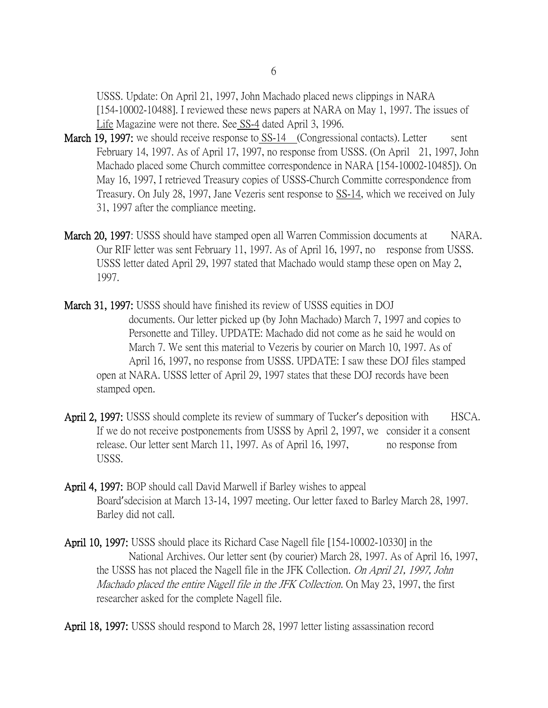USSS. Update: On April 21, 1997, John Machado placed news clippings in NARA [154-10002-10488]. I reviewed these news papers at NARA on May 1, 1997. The issues of Life Magazine were not there. See SS-4 dated April 3, 1996.

- March 19, 1997: we should receive response to SS-14 (Congressional contacts). Letter sent February 14, 1997. As of April 17, 1997, no response from USSS. (On April 21, 1997, John Machado placed some Church committee correspondence in NARA [154-10002-10485]). On May 16, 1997, I retrieved Treasury copies of USSS-Church Committe correspondence from Treasury. On July 28, 1997, Jane Vezeris sent response to SS-14, which we received on July 31, 1997 after the compliance meeting.
- March 20, 1997: USSS should have stamped open all Warren Commission documents at NARA. Our RIF letter was sent February 11, 1997. As of April 16, 1997, no response from USSS. USSS letter dated April 29, 1997 stated that Machado would stamp these open on May 2, 1997.
- March 31, 1997: USSS should have finished its review of USSS equities in DOJ documents. Our letter picked up (by John Machado) March 7, 1997 and copies to Personette and Tilley. UPDATE: Machado did not come as he said he would on March 7. We sent this material to Vezeris by courier on March 10, 1997. As of April 16, 1997, no response from USSS. UPDATE: I saw these DOJ files stamped open at NARA. USSS letter of April 29, 1997 states that these DOJ records have been stamped open.
- April 2, 1997: USSS should complete its review of summary of Tucker's deposition with HSCA. If we do not receive postponements from USSS by April 2, 1997, we consider it a consent release. Our letter sent March 11, 1997. As of April 16, 1997, no response from USSS.
- April 4, 1997: BOP should call David Marwell if Barley wishes to appeal Board'sdecision at March 13-14, 1997 meeting. Our letter faxed to Barley March 28, 1997. Barley did not call.
- April 10, 1997: USSS should place its Richard Case Nagell file [154-10002-10330] in the National Archives. Our letter sent (by courier) March 28, 1997. As of April 16, 1997, the USSS has not placed the Nagell file in the JFK Collection. On April 21, 1997, John Machado placed the entire Nagell file in the JFK Collection. On May 23, 1997, the first researcher asked for the complete Nagell file.

April 18, 1997: USSS should respond to March 28, 1997 letter listing assassination record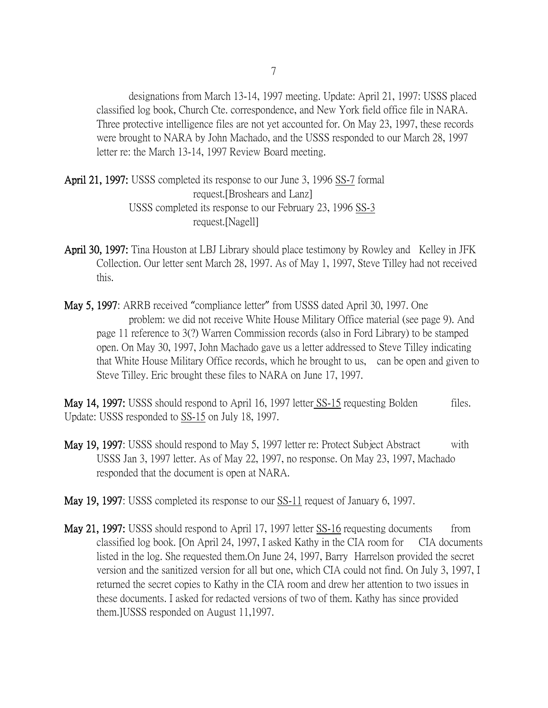designations from March 13-14, 1997 meeting. Update: April 21, 1997: USSS placed classified log book, Church Cte. correspondence, and New York field office file in NARA. Three protective intelligence files are not yet accounted for. On May 23, 1997, these records were brought to NARA by John Machado, and the USSS responded to our March 28, 1997 letter re: the March 13-14, 1997 Review Board meeting.

- April 21, 1997: USSS completed its response to our June 3, 1996 SS-7 formal request.[Broshears and Lanz] USSS completed its response to our February 23, 1996 SS-3 request.[Nagell]
- April 30, 1997: Tina Houston at LBJ Library should place testimony by Rowley and Kelley in JFK Collection. Our letter sent March 28, 1997. As of May 1, 1997, Steve Tilley had not received this.
- May 5, 1997: ARRB received "compliance letter" from USSS dated April 30, 1997. One problem: we did not receive White House Military Office material (see page 9). And page 11 reference to 3(?) Warren Commission records (also in Ford Library) to be stamped open. On May 30, 1997, John Machado gave us a letter addressed to Steve Tilley indicating that White House Military Office records, which he brought to us, can be open and given to Steve Tilley. Eric brought these files to NARA on June 17, 1997.

May 14, 1997: USSS should respond to April 16, 1997 letter SS-15 requesting Bolden files. Update: USSS responded to SS-15 on July 18, 1997.

- May 19, 1997: USSS should respond to May 5, 1997 letter re: Protect Subject Abstract with USSS Jan 3, 1997 letter. As of May 22, 1997, no response. On May 23, 1997, Machado responded that the document is open at NARA.
- May 19, 1997: USSS completed its response to our SS-11 request of January 6, 1997.
- May 21, 1997: USSS should respond to April 17, 1997 letter SS-16 requesting documents from classified log book. [On April 24, 1997, I asked Kathy in the CIA room for CIA documents listed in the log. She requested them.On June 24, 1997, Barry Harrelson provided the secret version and the sanitized version for all but one, which CIA could not find. On July 3, 1997, I returned the secret copies to Kathy in the CIA room and drew her attention to two issues in these documents. I asked for redacted versions of two of them. Kathy has since provided them.]USSS responded on August 11,1997.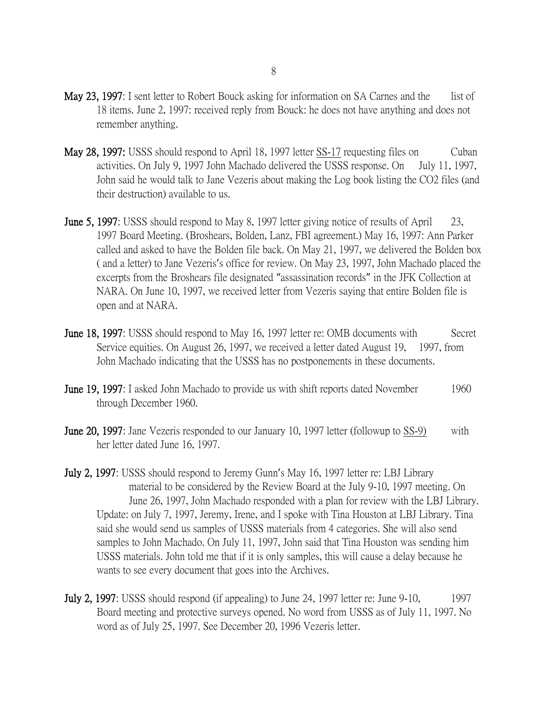- May 23, 1997: I sent letter to Robert Bouck asking for information on SA Carnes and the list of 18 items. June 2, 1997: received reply from Bouck: he does not have anything and does not remember anything.
- May 28, 1997: USSS should respond to April 18, 1997 letter SS-17 requesting files on Cuban activities. On July 9, 1997 John Machado delivered the USSS response. On July 11, 1997, John said he would talk to Jane Vezeris about making the Log book listing the CO2 files (and their destruction) available to us.
- June 5, 1997: USSS should respond to May 8, 1997 letter giving notice of results of April 23, 1997 Board Meeting. (Broshears, Bolden, Lanz, FBI agreement.) May 16, 1997: Ann Parker called and asked to have the Bolden file back. On May 21, 1997, we delivered the Bolden box ( and a letter) to Jane Vezeris's office for review. On May 23, 1997, John Machado placed the excerpts from the Broshears file designated "assassination records" in the JFK Collection at NARA. On June 10, 1997, we received letter from Vezeris saying that entire Bolden file is open and at NARA.
- **June 18, 1997**: USSS should respond to May 16, 1997 letter re: OMB documents with Secret Service equities. On August 26, 1997, we received a letter dated August 19, 1997, from John Machado indicating that the USSS has no postponements in these documents.
- **June 19, 1997:** I asked John Machado to provide us with shift reports dated November 1960 through December 1960.
- **June 20, 1997:** Jane Vezeris responded to our January 10, 1997 letter (followup to SS-9) with her letter dated June 16, 1997.
- July 2, 1997: USSS should respond to Jeremy Gunn's May 16, 1997 letter re: LBJ Library material to be considered by the Review Board at the July 9-10, 1997 meeting. On June 26, 1997, John Machado responded with a plan for review with the LBJ Library. Update: on July 7, 1997, Jeremy, Irene, and I spoke with Tina Houston at LBJ Library. Tina said she would send us samples of USSS materials from 4 categories. She will also send samples to John Machado. On July 11, 1997, John said that Tina Houston was sending him USSS materials. John told me that if it is only samples, this will cause a delay because he wants to see every document that goes into the Archives.
- July 2, 1997: USSS should respond (if appealing) to June 24, 1997 letter re: June 9-10, 1997 Board meeting and protective surveys opened. No word from USSS as of July 11, 1997. No word as of July 25, 1997. See December 20, 1996 Vezeris letter.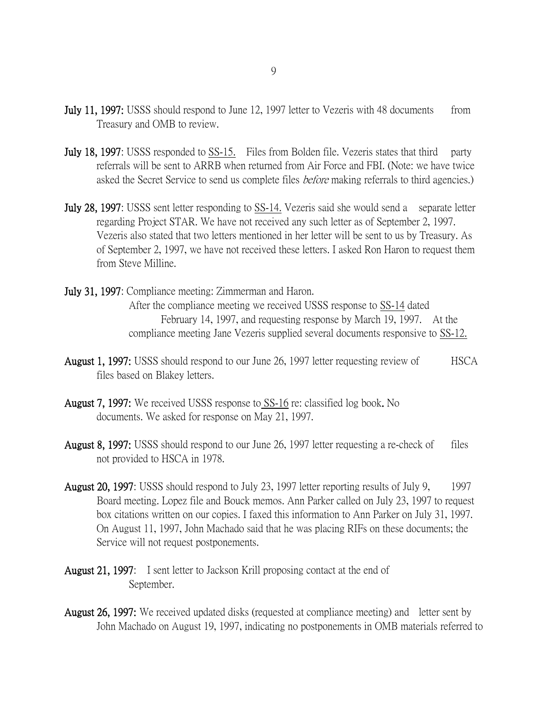- **July 11, 1997:** USSS should respond to June 12, 1997 letter to Vezeris with 48 documents from Treasury and OMB to review.
- July 18, 1997: USSS responded to SS-15. Files from Bolden file. Vezeris states that third party referrals will be sent to ARRB when returned from Air Force and FBI. (Note: we have twice asked the Secret Service to send us complete files *before* making referrals to third agencies.)
- July 28, 1997: USSS sent letter responding to SS-14. Vezeris said she would send a separate letter regarding Project STAR. We have not received any such letter as of September 2, 1997. Vezeris also stated that two letters mentioned in her letter will be sent to us by Treasury. As of September 2, 1997, we have not received these letters. I asked Ron Haron to request them from Steve Milline.
- July 31, 1997: Compliance meeting: Zimmerman and Haron. After the compliance meeting we received USSS response to SS-14 dated February 14, 1997, and requesting response by March 19, 1997. At the compliance meeting Jane Vezeris supplied several documents responsive to SS-12.
- August 1, 1997: USSS should respond to our June 26, 1997 letter requesting review of HSCA files based on Blakey letters.
- August 7, 1997: We received USSS response to SS-16 re: classified log book. No documents. We asked for response on May 21, 1997.
- August 8, 1997: USSS should respond to our June 26, 1997 letter requesting a re-check of files not provided to HSCA in 1978.
- August 20, 1997: USSS should respond to July 23, 1997 letter reporting results of July 9, 1997 Board meeting. Lopez file and Bouck memos. Ann Parker called on July 23, 1997 to request box citations written on our copies. I faxed this information to Ann Parker on July 31, 1997. On August 11, 1997, John Machado said that he was placing RIFs on these documents; the Service will not request postponements.
- August 21, 1997: I sent letter to Jackson Krill proposing contact at the end of September.
- August 26, 1997: We received updated disks (requested at compliance meeting) and letter sent by John Machado on August 19, 1997, indicating no postponements in OMB materials referred to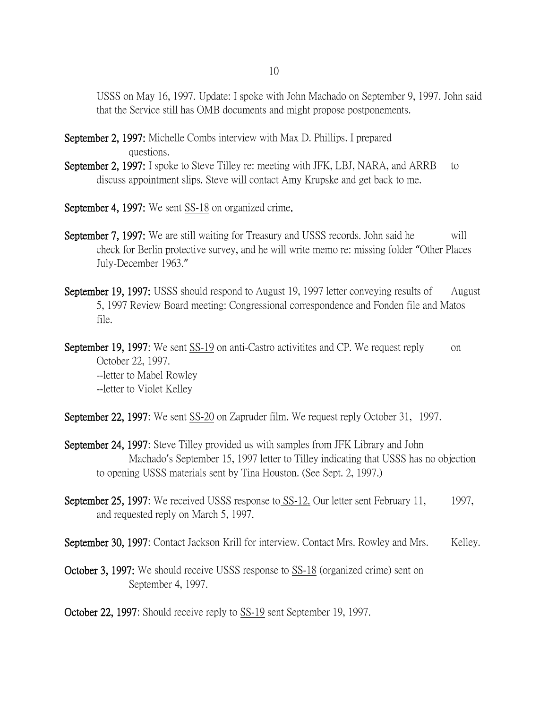USSS on May 16, 1997. Update: I spoke with John Machado on September 9, 1997. John said that the Service still has OMB documents and might propose postponements.

- September 2, 1997: Michelle Combs interview with Max D. Phillips. I prepared questions.
- September 2, 1997: I spoke to Steve Tilley re: meeting with JFK, LBJ, NARA, and ARRB to discuss appointment slips. Steve will contact Amy Krupske and get back to me.
- September 4, 1997: We sent SS-18 on organized crime.
- September 7, 1997: We are still waiting for Treasury and USSS records. John said he will check for Berlin protective survey, and he will write memo re: missing folder "Other Places July-December 1963."
- September 19, 1997: USSS should respond to August 19, 1997 letter conveying results of August 5, 1997 Review Board meeting: Congressional correspondence and Fonden file and Matos file.
- September 19, 1997: We sent SS-19 on anti-Castro activitities and CP. We request reply on October 22, 1997. --letter to Mabel Rowley --letter to Violet Kelley
- September 22, 1997: We sent SS-20 on Zapruder film. We request reply October 31, 1997.
- September 24, 1997: Steve Tilley provided us with samples from JFK Library and John Machado's September 15, 1997 letter to Tilley indicating that USSS has no objection to opening USSS materials sent by Tina Houston. (See Sept. 2, 1997.)
- September 25, 1997: We received USSS response to SS-12. Our letter sent February 11, 1997, and requested reply on March 5, 1997.
- September 30, 1997: Contact Jackson Krill for interview. Contact Mrs. Rowley and Mrs. Kelley.
- October 3, 1997: We should receive USSS response to SS-18 (organized crime) sent on September 4, 1997.
- October 22, 1997: Should receive reply to SS-19 sent September 19, 1997.